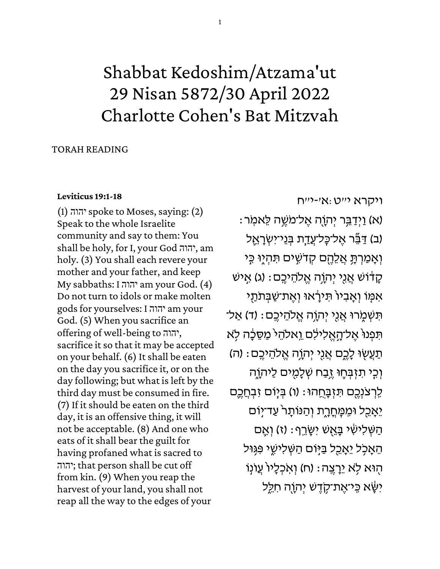# Shabbat Kedoshim/Atzama'ut 29 Nisan 5872/30 April 2022 Charlotte Cohen's Bat Mitzvah

## TORAH READING

## **[Leviticus 19:1-18](https://www.sefaria.org/Leviticus.19.1-18)**

 $(1)$  יהוה spoke to Moses, saying:  $(2)$ Speak to the whole Israelite community and say to them: You shall be holy, for I, your God יהוה, am holy. (3) You shall each revere your mother and your father, and keep My sabbaths: I יהוה am your God. (4) Do not turn to idols or make molten gods for yourselves: I יהוה am your God. (5) When you sacrifice an offering of well-being to יהוה, sacrifice it so that it may be accepted on your behalf. (6) It shall be eaten on the day you sacrifice it, or on the day following; but what is left by the third day must be consumed in fire. (7) If it should be eaten on the third day, it is an offensive thing, it will not be acceptable. (8) And one who eats of it shall bear the guilt for having profaned what is sacred to יהוה ;that person shall be cut off from kin. (9) When you reap the harvest of your land, you shall not reap all the way to the edges of your

[ויקרא](https://www.sefaria.org/Leviticus.19.1-18) [י״ט:א׳-י״ח](https://www.sefaria.org/Leviticus.19.1-18)

: א) וַיִּדַבֵּר יִהוֶה אֵל־מֹשֵׁה לֵּאמִר) (ב) דַּבֵּר אֶל־כָּל־עֲ<u>ד</u>ָת בְּנֵי־יִשְׂרָאֱל וְאָמַרְתָּ אֲלֵהֶם קְדֹשִׁים תִּהְיֶוּ בְּי ַּקְדֹוֹשׁ אֲנֵי יִהְוֶה אֱלֹהֵיּבֶם: (ג) אֱיש אַמּוֹ וֹאָבִיוֹ תִּירְאוּ וְאִת־שַׁבְּתֹתי ֿתִּשְׁמֶרוּ אֲנִי יִהְוֶה אֱלֹהֵיּבֵם: (ד) אַל־ הִפְנוּ אֱל־הָאֱלִילִם וֵאלהֵי מַסֱכָה לִא תַעֲשֶׂוּ לָכֶם אֲנֵי יִהוֶה אֱלֹהֵיּבֵם: (ה) וְכֵי תִזְבְּחֵוּ זֵבַח שְׁלַמְים לַיִהְוֵה ֹלְרְצֹנְכֵם תִּזְבָּחֱהוּ: (ו) בִּיָּוֹם זְבְחֲכֵֵם יֵּאָכֵל וּמֵכְּחֳרֶת וְהַנּוֹתָר עַד־יִוּם ֿהַשְׁלִישִׂי בָּאֵשׁ יִשָּׂרֵף: (ז) וְאֵם הֵאֲכָל יֵאָבֵל בַּיִּוֹם הַשְׁלִישֵׁי פִּגְּוּל ֿהָוּא לְא יֵרֲצֵה: (ח) וְאִכְלָיוֹ עֲוֹנוֹ יִשָּׂא כִּי־אֶת־קָדֶשׁ יִהוַה חִלֵּל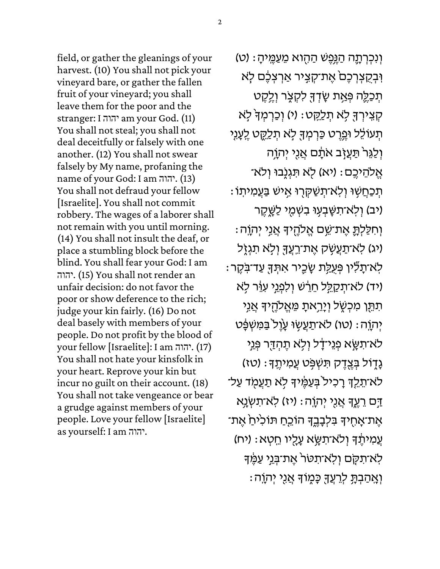field, or gather the gleanings of your harvest. (10) You shall not pick your vineyard bare, or gather the fallen fruit of your vineyard; you shall leave them for the poor and the stranger: I יהוה am your God. (11) You shall not steal; you shall not deal deceitfully or falsely with one another. (12) You shall not swear falsely by My name, profaning the name of your God: I am יהוה.) 13 ( You shall not defraud your fellow [Israelite]. You shall not commit robbery. The wages of a laborer shall not remain with you until morning. (14) You shall not insult the deaf, or place a stumbling block before the blind. You shall fear your God: I am יהוה. (15) You shall not render an unfair decision: do not favor the poor or show deference to the rich; judge your kin fairly. (16) Do not deal basely with members of your people. Do not profit by the blood of your fellow [Israelite]: I am יהוה.) 17 ( You shall not hate your kinsfolk in your heart. Reprove your kin but incur no guilt on their account. (18) You shall not take vengeance or bear a grudge against members of your people. Love your fellow [Israelite] as yourself: I am יהוה.

וְנִכְרְתֶה הַגְּפֵשׁ הַהָוא מֵעַמֵּיהָ: (ט) וִּבְקֵצְרְכֶם ׁאֶת־קְצִיר אַרְצְכֶם לָא ֿתְכַלֶּה פְּאִַת שָׂדְךָּ לִקְצֶר וְלֶקֶט ַקְצִירְךָּ לְאֹ תְּלֵקֵט: (י) וְכַרְמְךָּ לְאֹ ֿתְּעוֹלֵל וּמֶרֶט כַּרְמְךָּ לְא תְּלֵקֶט לֶעְנִי וְלַגֵּר תַּעֲזָב אֹתָם אֲנֵי יִהְוֶה ֹאֱלֹהֵיֹכֶם: (יֹא) לְא תִּגְנֶבוּ וְלֹא־ ָּתְכַחֲשֶׁוּ וְלִא־תְשַׁקְּרֶוּ אֶישׁ בַּעֲמִיתוֹ יב) וְלְא־תִשָּׁבְעָוּ בִשְׁמֻי לַשֱקֶר) ּוְ חִלַּלְתָּ֣ אֵת־שֵׁם אֵלֹהֵיךָ אֲנֵי יִהוֶה (יג) לְא־תַעֲשָׂק אֶת־רֵעֲךָּ וְלָא תִגְזֶל) ֿלְאֹ־תָלִּין פִּעָלַת שָׂכֵיר אִתְּךָּ עַד־בְּקֵר (יד) לֹא־תְקַלֵּל חֵרֵּשׁ וְלִפְגֵי עִוֵּ֫ר לָא ּ תִּתֵּ֣ן מִכְשֶׁל וְיָרֵ֣אתָ מֵאֱלֹהֶיֽךָ אֲנִי ֿיְהוֶה: (טו) לא־תַעֲשֶׂוּ עָוֶל בַּמִּשְׁפָּט לֹא־תִשָּׂא פְנֵי־דָל וִלְא תֵהְדַּך פְּנֵי גַדָוֹל בְּצֶדֶק תִּשְׁפֵּט עֲמִיתֵךָ: (טז) ֿלֹא־תֵלֵךְ רָכִיל ּבְעַמֶּ֫ידְּ לְא תַעֲמָד עַל־ ַדְּם רֵעֵךְ אֲנִי יִהְוֶה: (יז) לְא־תִשְׂנֵא אֶת־אָחֻידּ בִּלְבָבֶדְ הוֹכֵחַ תּוֹכִיּחַ אֶת־ עֲמִיתֶד וְלֹא־תִשָּׂא עָלֻיו חֵטְא: (יח) ֹלְא־תִקָּם וְלְא־תִטּר אֶת־בְּנֵי עַמֶּךָ וְאֲהַבְתֵּ לְרֵעֲךָּ כַּמְוֹךָּ אֲנֵי יְהוֵה: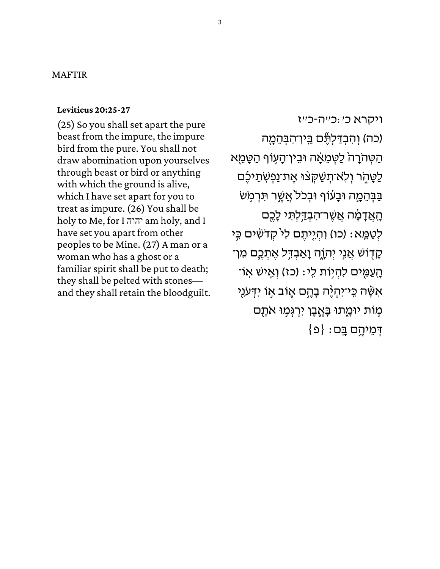## MAFTIR

#### **[Leviticus 20:25-27](https://www.sefaria.org/Leviticus.20.25-27)**

(25) So you shall set apart the pure beast from the impure, the impure bird from the pure. You shall not draw abomination upon yourselves through beast or bird or anything with which the ground is alive, which I have set apart for you to treat as impure. (26) You shall be holy to Me, for I יהוה am holy, and I have set you apart from other peoples to be Mine. (27) A man or a woman who has a ghost or a familiar spirit shall be put to death; they shall be pelted with stones and they shall retain the bloodguilt.

[ויקרא](https://www.sefaria.org/Leviticus.20.25-27) [כ׳:כ״ֹה- כ״ז](https://www.sefaria.org/Leviticus.20.25-27) (כֹה) וְהִבְדַלְתֶּ֫יִם בֵּין־הַבְּהֵמֶה ֿהַטְּהֹרָה ׁלַטְמֵאָׁה וּבֵין־הָעָוֹף הַטָּמֵא ַלַטָּתֶׂר וְלְאֹ־תְּשַׁקְצּוּ אֶת־נַפְשְׂתֵיכֶּם ּבַּבְּהֵמָה וּבָעוֹף וּבְכֹל אֲשֶׁר תִּרְמָּשֹ ֿהָאֲדָמָ֫ה אֲשֶר־הִבְדַלְתִּי לָכֶם לְטַמֵּא: (כו) וִהְיֶיתֶם לִי קְדֹשִׂים כִִּי ְּקַדְוֹשׁ אֲנֵי יְהוֶה וַאֲבְדֶּל אֱתָכֱם מִן־ ֿהָעַמִּים לִהְיִוֹת לִי: (כז) וְאֵישׁ אִו־ אִשָּׂה כֵּי־יִהְיֶ<mark>ּ</mark>ה בָּהֵם אֵוֹב אִו יִדְּעֹנִי מִוֹּת יוּמֲתוּ בָּאֱבֵן יִרְגְּמִוּ אֹתָם  $\{ \Omega \} : \square$ דְּמֵיהֶם בָּם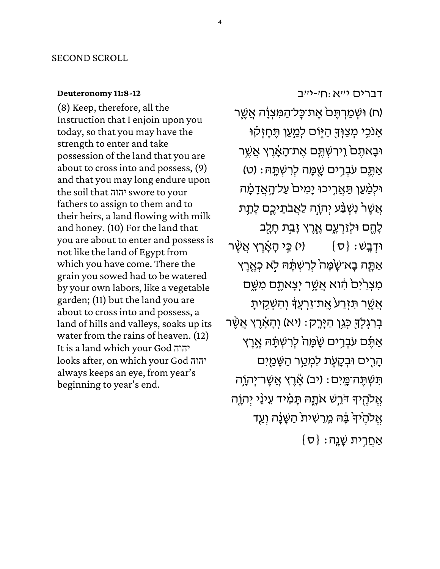## SECOND SCROLL

#### **[Deuteronomy 11:8-12](https://www.sefaria.org/Deuteronomy.11.8-12)**

(8) Keep, therefore, all the Instruction that I enjoin upon you today, so that you may have the strength to enter and take possession of the land that you are about to cross into and possess, (9) and that you may long endure upon the soil that יהוה<sup>,</sup> swore to your fathers to assign to them and to their heirs, a land flowing with milk and honey. (10) For the land that you are about to enter and possess is not like the land of Egypt from which you have come. There the grain you sowed had to be watered by your own labors, like a vegetable garden; (11) but the land you are about to cross into and possess, a land of hills and valleys, soaks up its water from the rains of heaven. (12) It is a land which your God יהוה looks after, on which your God יהוה always keeps an eye, from year's beginning to year's end.

[דברים](https://www.sefaria.org/Deuteronomy.11.8-12) [י״א:ח׳-י״ב](https://www.sefaria.org/Deuteronomy.11.8-12) (ח) וּשְׁמַרְתֶּם אֶת־כָּל־הַמִּצְוָ֫ה אֲשֱר אָנֹכִי מְצַוְּךָּ הַיֶּוֹם לְמַעַן תֶּחֶזְקוּ ֿוּבָאתֶם וֵירִשְׁתֶּם אֶת־הָאָ<u>֫</u>רֶץ אֲשֶר ֹאַתֱם עֹבְרִים שֻֻׁמַּה לְרִשְׁתָּהּ: (ט) ּוּלְמַּׁעַן תַּאֲרֶיכוּ יָמִים עַל־הָאֲדָמָה אֲשֶׁרْ נִשְׁבַּע יְהְוֶה לַאֲבֹתֵיכֶם לָתֵ*ּ*ת לָהֶם וּלְזַרְעָם אֱרֵץ זָבֵת חָלֵב ֿוּדְבָשׁ $\{\sigma\}$ וֹ (י) כֵּי הָאָ֫רֶץ אֲשֶׁר ֹאַתֶּה בָא־שָׂמָּה ׁלְרִשְׁתָּהּ לָא כְאֶרֶץ מִצְרַיִּם הִׁוֹא אֲשֶר יְצָאתֶם מִשֶּׁם ּאֲשֶׁר תִּזְרַע<sup>ָ</sup> אֱת־זַרְעֲדָּ וְהִשְׁקִיתָ בְרַגְלְךָּ כְּגֵן הַיָּרֶק: (יא) וְהָאָ֫רֶץ אֲשֶׁר אַרֶּם עֹבְרֵים שָׂמָה לְרִשְׁתָּה *אֱרֶ*ץ ֿהָרִים וּבְקָעֶת לִמְטַר הַשָּׁמַֻיִּם ֿתִּשְׁתֶּה־מֱיִם : (יב) אֶנֶץ אֲשֶר־יְהוָה אֱלֹהֶיךָ דֹּרֵשׁ אֹתֶהּ תָּמִ֫יד עֵינֵי יְהוֶה אֱלֹהֶ<sup>י</sup>וּךְ בָּה מֵרֵשִׁית הַשָּׁנָה וְעַד  $\{\sigma\}: \mathcal{V}$ אַחֲרֶית שָׁנֵה